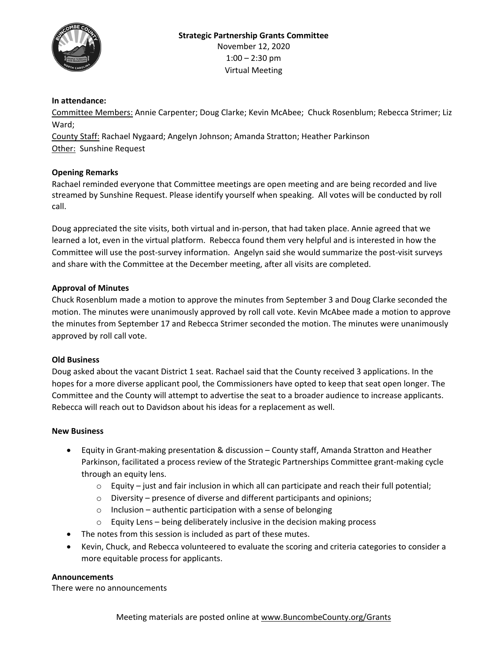

#### **In attendance:**

Committee Members: Annie Carpenter; Doug Clarke; Kevin McAbee; Chuck Rosenblum; Rebecca Strimer; Liz Ward;

County Staff: Rachael Nygaard; Angelyn Johnson; Amanda Stratton; Heather Parkinson Other: Sunshine Request

#### **Opening Remarks**

Rachael reminded everyone that Committee meetings are open meeting and are being recorded and live streamed by Sunshine Request. Please identify yourself when speaking. All votes will be conducted by roll call.

Doug appreciated the site visits, both virtual and in-person, that had taken place. Annie agreed that we learned a lot, even in the virtual platform. Rebecca found them very helpful and is interested in how the Committee will use the post-survey information. Angelyn said she would summarize the post-visit surveys and share with the Committee at the December meeting, after all visits are completed.

#### **Approval of Minutes**

Chuck Rosenblum made a motion to approve the minutes from September 3 and Doug Clarke seconded the motion. The minutes were unanimously approved by roll call vote. Kevin McAbee made a motion to approve the minutes from September 17 and Rebecca Strimer seconded the motion. The minutes were unanimously approved by roll call vote.

#### **Old Business**

Doug asked about the vacant District 1 seat. Rachael said that the County received 3 applications. In the hopes for a more diverse applicant pool, the Commissioners have opted to keep that seat open longer. The Committee and the County will attempt to advertise the seat to a broader audience to increase applicants. Rebecca will reach out to Davidson about his ideas for a replacement as well.

#### **New Business**

- Equity in Grant-making presentation & discussion County staff, Amanda Stratton and Heather Parkinson, facilitated a process review of the Strategic Partnerships Committee grant-making cycle through an equity lens.
	- $\circ$  Equity just and fair inclusion in which all can participate and reach their full potential;
	- o Diversity presence of diverse and different participants and opinions;
	- $\circ$  Inclusion authentic participation with a sense of belonging
	- o Equity Lens being deliberately inclusive in the decision making process
- The notes from this session is included as part of these mutes.
- Kevin, Chuck, and Rebecca volunteered to evaluate the scoring and criteria categories to consider a more equitable process for applicants.

#### **Announcements**

There were no announcements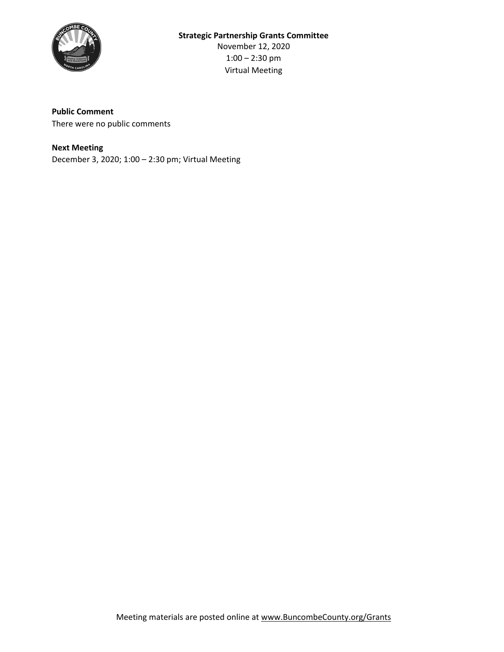

#### **Public Comment**

There were no public comments

#### **Next Meeting**

December 3, 2020; 1:00 – 2:30 pm; Virtual Meeting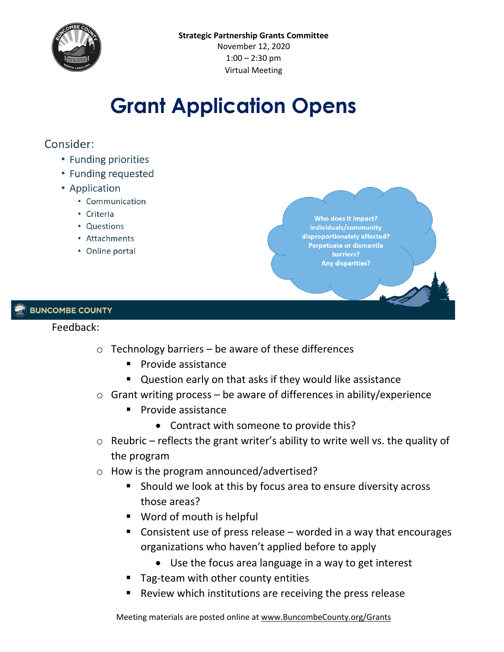

# **Grant Application Opens**

## Consider:

- Funding priorities
- Funding requested
- Application
	- Communication
	- Criteria
	- Questions
	- Attachments
	- Online portal

Who does it impact? Individuals/community disproportionately affected? Perpetuate or dismantle barriers? **Any disparities?** 

#### **BUNCOMBE COUNTY**

#### Feedback:

- $\circ$  Technology barriers be aware of these differences
	- $\blacksquare$  Provide assistance
	- **Question early on that asks if they would like assistance**
- o Grant writing process be aware of differences in ability/experience
	- **Provide assistance** 
		- Contract with someone to provide this?
- $\circ$  Reubric reflects the grant writer's ability to write well vs. the quality of the program
- o How is the program announced/advertised?
	- Should we look at this by focus area to ensure diversity across those areas?
	- **Word of mouth is helpful**
	- Consistent use of press release worded in a way that encourages organizations who haven't applied before to apply
		- Use the focus area language in a way to get interest
	- **Tag-team with other county entities**
	- Review which institutions are receiving the press release

Meeting materials are posted online at [www.BuncombeCounty.org/Grants](http://www.buncombecounty.org/Grants)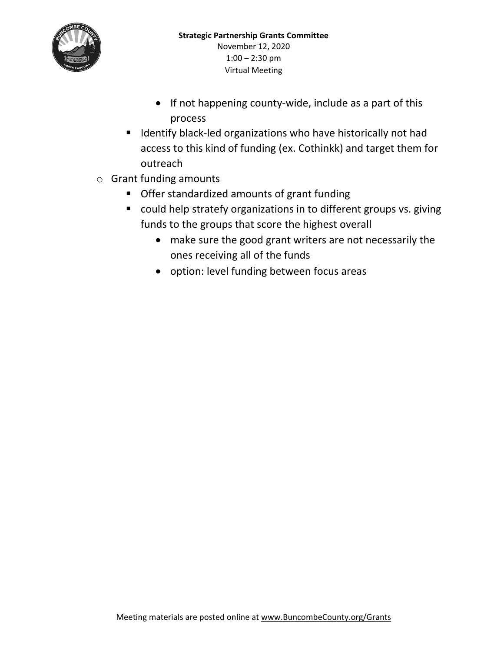

- If not happening county-wide, include as a part of this process
- **If** Identify black-led organizations who have historically not had access to this kind of funding (ex. Cothinkk) and target them for outreach
- o Grant funding amounts
	- **Offer standardized amounts of grant funding**
	- could help stratefy organizations in to different groups vs. giving funds to the groups that score the highest overall
		- make sure the good grant writers are not necessarily the ones receiving all of the funds
		- option: level funding between focus areas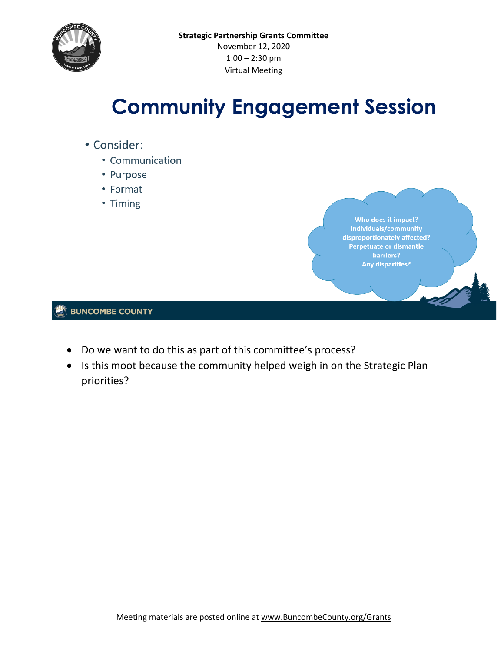

# **Community Engagement Session**

- Consider:
	- Communication
	- Purpose
	- Format
	- Timing

Who does it impact? Individuals/community disproportionately affected? Perpetuate or dismantle barriers? **Any disparities?** 

- Do we want to do this as part of this committee's process?
- Is this moot because the community helped weigh in on the Strategic Plan priorities?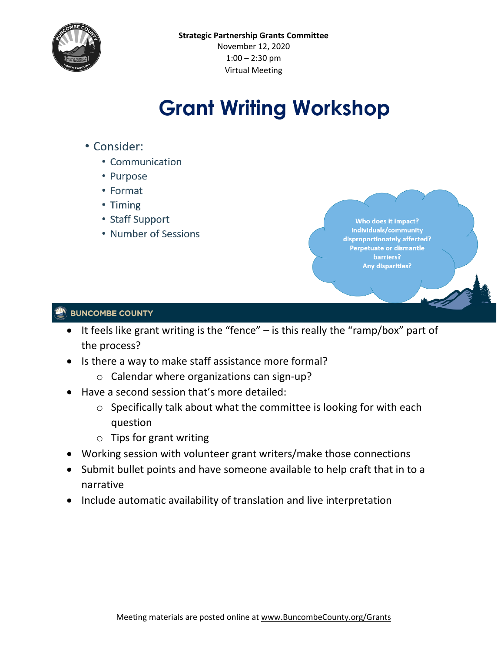

# **Grant Writing Workshop**

- Consider:
	- Communication
	- Purpose
	- Format
	- Timing
	- Staff Support
	- Number of Sessions

Who does it impact? Individuals/community disproportionately affected? Perpetuate or dismantle barriers? **Any disparities?** 

- It feels like grant writing is the "fence" is this really the "ramp/box" part of the process?
- Is there a way to make staff assistance more formal?
	- o Calendar where organizations can sign-up?
- Have a second session that's more detailed:
	- o Specifically talk about what the committee is looking for with each question
	- o Tips for grant writing
- Working session with volunteer grant writers/make those connections
- Submit bullet points and have someone available to help craft that in to a narrative
- Include automatic availability of translation and live interpretation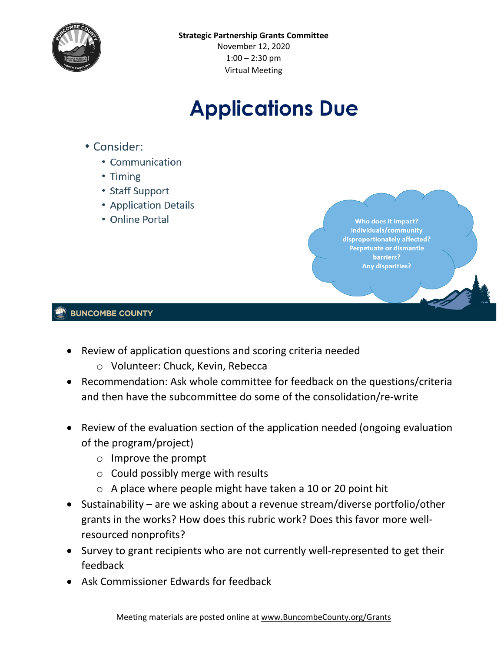

# **Applications Due**

- Consider:
	- Communication
	- Timing
	- Staff Support
	- Application Details
	- Online Portal

Who does it impact? Individuals/community disproportionately affected? Perpetuate or dismantle barriers? **Any disparities?** 

- Review of application questions and scoring criteria needed
	- o Volunteer: Chuck, Kevin, Rebecca
- Recommendation: Ask whole committee for feedback on the questions/criteria and then have the subcommittee do some of the consolidation/re-write
- Review of the evaluation section of the application needed (ongoing evaluation of the program/project)
	- o Improve the prompt
	- $\circ$  Could possibly merge with results
	- o A place where people might have taken a 10 or 20 point hit
- Sustainability are we asking about a revenue stream/diverse portfolio/other grants in the works? How does this rubric work? Does this favor more wellresourced nonprofits?
- Survey to grant recipients who are not currently well-represented to get their feedback
- Ask Commissioner Edwards for feedback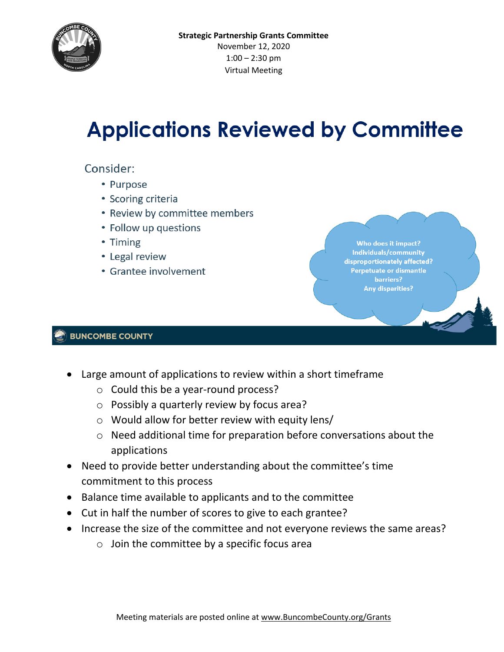

# **Applications Reviewed by Committee**

### Consider:

- Purpose
- Scoring criteria
- Review by committee members
- Follow up questions
- Timing
- Legal review
- Grantee involvement

Who does it impact? Individuals/community disproportionately affected? Perpetuate or dismantle barriers? **Any disparities?** 

- Large amount of applications to review within a short timeframe
	- o Could this be a year-round process?
	- o Possibly a quarterly review by focus area?
	- o Would allow for better review with equity lens/
	- o Need additional time for preparation before conversations about the applications
- Need to provide better understanding about the committee's time commitment to this process
- Balance time available to applicants and to the committee
- Cut in half the number of scores to give to each grantee?
- Increase the size of the committee and not everyone reviews the same areas?
	- $\circ$  Join the committee by a specific focus area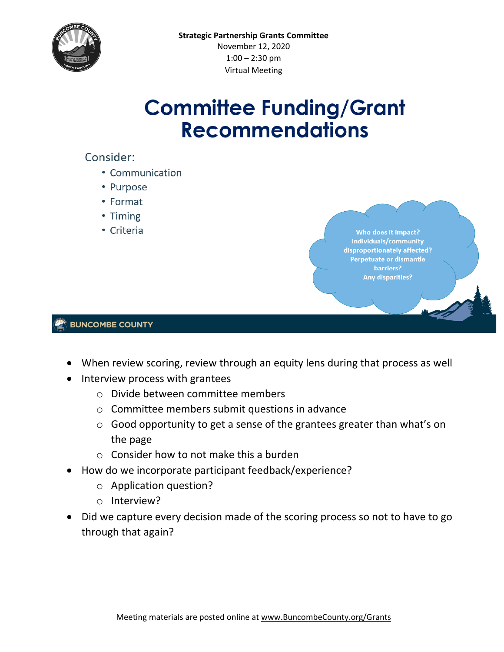

# **Committee Funding/Grant Recommendations**

# Consider:

- Communication
- Purpose
- Format
- Timing
- Criteria

Who does it impact? Individuals/community disproportionately affected? Perpetuate or dismantle barriers? **Any disparities?** 

- When review scoring, review through an equity lens during that process as well
- Interview process with grantees
	- o Divide between committee members
	- o Committee members submit questions in advance
	- o Good opportunity to get a sense of the grantees greater than what's on the page
	- o Consider how to not make this a burden
- How do we incorporate participant feedback/experience?
	- o Application question?
	- o Interview?
- Did we capture every decision made of the scoring process so not to have to go through that again?